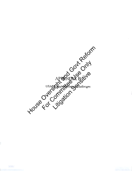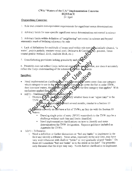## CWA "Waters of the U.S." Implementation Concerns **HOUSACE**

24 April

## **Overarching Concerns:**

- 1. Rule text contains non-equivalent requirements for significant nexus determinations
- 2. Arbitrary limits for case-specific significant nexus determinations not rooted in science

3. Arbitrary limits within definition of "neighboring" not rooted in science and beyond reasonable reach of defining adjacency by rule

4. Lack of definitions for multitude of terms used within rule text (all similarly situated, "a water", prairie pothole, western vernal pool, Delmarva & Carolins Day, pocosin, Texas coastal prairie wetland, ditch, roadside ditch, etc.)

5. Grandfathering provisions lacking granularity and clares

6. Preamble does not reflect Corps technical experies fise, nor does it accurately reflect the Corps understanding of the substantive ic domments

## **Specifics:**

- Need implementation clarification on meets more than one category which category to use in the q go down the list in order (TNW, then interstate waters, tl mul the first category that applies? With exclusions applied first
- $(a)(1) Traditional N$ 
	- **Districts** may intify whether there is an "upper limit" to the TNW

east several months, similar to a Section 10

currently do not have a list of TNWs, as they do with the Section 10

- Drawing single point of entry (SPOE) watersheds to the TNW may be a challenge without such lists and limits identified.
- Need implementation clarifications on how to identify and make determinations for TNW designation. Rapanos guidance included an Appendix for TNWs.
- $(a)(5)$  Tributaries
	- $\sim$  Need a definition or further discussion on "bed and banks" to implement in the field and identify a tributary. Some areas, especially in the arid west, may have very wide tributaries with shallow "banks" or very gradually sloped "banks." Do these still constitute "bed and banks" as to the intent in the rule? The preamble only discusses that the slope may vary. Needs further clarification to implement.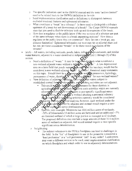- $\circ$  The specific indicators used in the OHWM manual and the term "active channel" need to be related back to the OHWM definition in the rule.
- o l\eed implementation clarification and/or definitions *w* distinguish between excluded erosional features and ephemeral tributaries.
- $\circ$  What constitutes a "break" in a tributary? Is there need to distinguish a tributary upstream of a break but not downstream of a break? The Corps OHWM manuals state that you need to find the tributary both up and downstream of the break.
- $\circ$  How does a regulator or the public know if the two sections of a tributary are part of the same tributary when there is a break separating sections? How does a regulator or the public know they are connected? How far can a break go; any distance limitation'? Ephemeral tributaries out west may hit an alluvial plain and fan out; are these considered "breaks" or do these result in isolation of the streams?<br>
\* (a)(6) - All waters, including wetlands, ponds, lakes, ox bows monoundments, and similar
- water features, adjacent to a water identified in subparagraphs (a)(1) through (5) of this section.
	- $\infty$  Need a definition of "water." It may be hand to disting wish what constitutes a non-wetland adjacent water without a definition of. water." A low depressional area on a farm field that ponds water after a rainstrom for ten days; would that be considered a non-wetland adjacent water? A public? Received many comments on this topic. Should there be a requirement of wetled parameters, hydrology, permanence of water, duration A "delineation manual" for non-wetland waters?
	- established normal farming silvige wire, and anching activities are not adjacent.
		- This could result in large workload increases for those districts in agriculture Colas as relations subject to such activities which are currently agriculture seas as we hands subject to such activities which are curred<br>adjacented rule with now require a case-specific significant nexus<br>determination was reasonably a wetland abutting a perennial tributary determination. The example, a wetland abutting a perennial tributary<br>which was subject to winning activities currently would be considered Odjacent without anywhere analysis; however, such wetland under the draft **Column** rule contained a case-<br>specific significant nexus determination.



specific significant nexus determination.<br>Specific state example: Minnesota has 10.6 million acres of wetlands;  $\sim$  50% of Minnesota's 54 million acres are farmland and an additional  $\sim$  7% are forested wetland of which a large portion is managed in silviculture. The proposed definition may exclude a large amount of those 10.6 million acres of wetlands as adjacent, and would instead require a case-specific significant nexus determination.

- o l\eighboring:
	- The indirect reference to the FEMA floodplain can lead to challenges in the field. Is the ''list"' of floodplains to use in the preamble considered a "hard preference" or a "soft preference" list? In any order? Landowners may want a different version to be used; need implementation clarification on which floodplain and which order to use in adjacency determinations.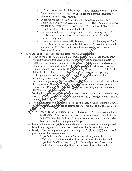- FEMA redraws their floodplains often; which version do we use? Levee Improvement Districts apply for floodplain modifications frequently; almost monthly in some districts.
- Other options for the 100-year floodplain do not match the FEMA floodplain; they serve different purposes. The NRCS soil maps suggested for use do not match the risk assessment that is used by FEMA. HEC-RAS is based on hydrology not flood risk.
- Can vertical and elevation changes be used in determining distance? Deeply incised tributaries with waters on a bluff; would these be considered adjacent?
- How is the distance measured? Remotely via aerial photography? Can't do the distance measurement in the field as it would take into account the elevation profile. Need implementation tools/resources on how to determine distance.
- (a)(7) and (a)(8) – Case-Specific Significant Nexus Deter $\oint$  between
	- $\circ$  How do we identify a prairie pothole, western vez al pool, Texas coastal prairie wetland, Carolina/Delmarva bays, or pocosing Need delineation manuals for these waters or at least a definition of these vaters, test tation characteristics, etc.
	- Single point of entry watershed (SPOE)  $\lambda$  chall the to delineate. There are no readily available maps or tools. The topis used by EPA (NHD, HUC) do NOT delineate SPOE. It needs to be down manually which can be especially challenging in the arid west with very laceborous and in areas of flat topography. Can introduce in misister.
	- *o* Need a mapping tool for districts to extline SCOEs and to potentially use in future determinations. However, SPOR thay change over time with development,<br>climate, etc. Would year to be periodically reviewed if trying to use the same climate, etc. Would Year to be periodically
	- $\circ$  Need guidance of how we dentify similarly situated" waters. How close do they need to be to each other? How heany and which type of functions do they need to
	- o Need Midance on how coldentify all of the "similarly situated" waters in a SPOE ignificant nexus determination. This may be challenging to do .... ~€)1otely. - V
		- Must identify all waters similarly situated in a SPOE using remote tools, aerial photos, NWJ maps. This may not be accurate as to the actual waters and of the same type to be used in significant nexus determination. May be a source for legal or appeal challenges.
	- o Distance limit used in (a)(8) may modify state assumed waters in Michigan and New Jersey. Applicahle Districts will need to work this out with the states.
	- $\circ$  Need guidance on appropriate procedural steps for (a)(7) and (a)(8) waters, as the procedures differ between them.
		- In (a) $(7)$  the "similarly situated" waters are already identified then the SPOE is identified then the significant nexus determination is completed.
		- In  $(a)(8)$  the SPOE is drawn first, then "similarly situated" waters are identified and then the significant nexus determination is completed.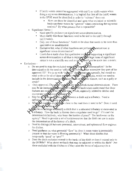- If (a)(6) waters cannot be aggregated with (a)(7) or (a)(8) waters when doing a sig nexus determination, it is logical that first all the (a)(6) waters in the SPOE must be identified in order to "subtract" them out.
	- How can these be identified and upon what technical or scientific basis can these waters be "ignored" when conducting the sig nexus analysis? By what process that is repeatable?
- $\circ$  Significant Nexus -
	- Need specific guidance on significant nexus determination.
	- Must clarify that those functions need to be tied to the  $(a)(1)$  through  $(a)(3)$  waters.
	- Only one of those functions? Needs to be clear that needs to be more than speculative or unsubstantial.
	- Exclusive list; what if other functions are perform **a** cannot use in significant nexus determination?
	- $\bullet$  Courts have made clear that qualitative evidence supporting a significant nexus determination is all that is required. The legal term of significant nexus is not a scientific one and as such should not be made into a metric.
- 
- Exclusions –<br>
o Do we need to map the excluded waters readings and determination? In the determination do we need to "officially exclude those waters/are they part of the approved JD? We do so with "is pated" det onination, currently, but would we need to do so for all of these excluded water? Fore cample, would we need to include in the determination **@** umentation or he other feature, such as a gully or swale?  $~\sqrt{2}~\sqrt{9}$ 
	- o Only approved JDs can be used Chake polyurisdictional determinations. There may be an increase in a prove VD records if landowners understand that these prove **D** re **Des**'s if landowners understand that these features are excluded for the dirst time in rule, especially related to ditches and stormwater mare
	- o May be a challenge to usting the between a ditch and a tributary. Need a definition or clarification or **Co** itch.
	- o What M roads de ditch NM close to the road does it need to be? Does it need to by para Yellothe soad

. Way be a challenge to identify a ditch that is a relocated tributary or excavated in ' $\blacksquare$  a tributary. How far back in history does a regulator need to go? If it can't be determined definitively, who bears the burden of proof'? The landowner or the agency? Need to provide a set of tools/resources that the field can use to make the determination of the history of a ditch.

- $\circ$  Need to distinguish between perennial, intermittent, and ephemeral flow regimes for ditches.
- o Need guidance on what perennial "flow" is; does it mean water is perennially present or that the water is flowing perennially'? What about ditches that temporarily "pond" or "pool"?
- o Does the ditch exclusion extend to the banks of the ditch or does it extend only to the OHWM? What ahout wetlands that may be adjacent or within the ditch? Are these excluded with the ditches or if they meet the tenns of adjacency (to a